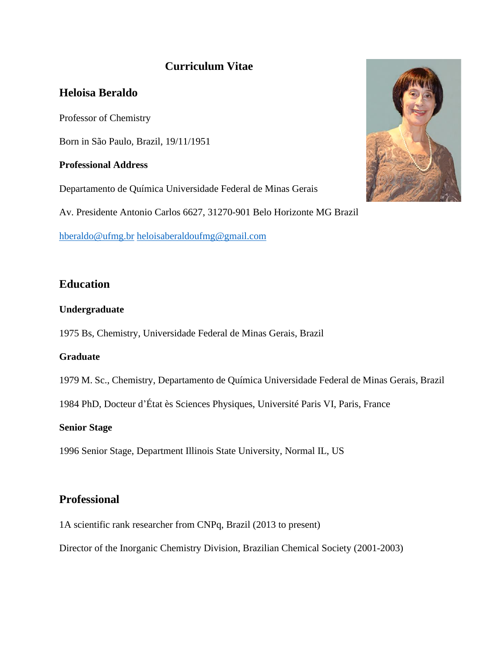# **Curriculum Vitae**

## **Heloisa Beraldo**

Professor of Chemistry

Born in São Paulo, Brazil, 19/11/1951

### **Professional Address**

Departamento de Química Universidade Federal de Minas Gerais

Av. Presidente Antonio Carlos 6627, 31270-901 Belo Horizonte MG Brazil

[hberaldo@ufmg.br](mailto:hberaldo@ufmg.br) [heloisaberaldoufmg@gmail.com](mailto:heloisaberaldoufmg@gmail.com)

# **Education**

### **Undergraduate**

1975 Bs, Chemistry, Universidade Federal de Minas Gerais, Brazil

## **Graduate**

1979 M. Sc., Chemistry, Departamento de Química Universidade Federal de Minas Gerais, Brazil

1984 PhD, Docteur d'État ès Sciences Physiques, Université Paris VI, Paris, France

#### **Senior Stage**

1996 Senior Stage, Department Illinois State University, Normal IL, US

## **Professional**

1A scientific rank researcher from CNPq, Brazil (2013 to present)

Director of the Inorganic Chemistry Division, Brazilian Chemical Society (2001-2003)

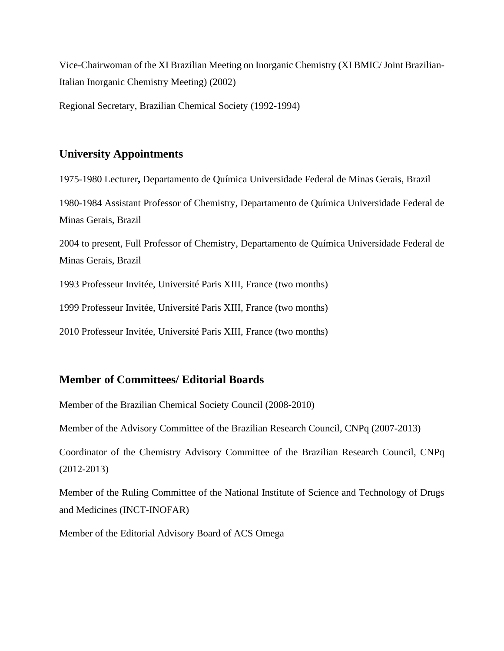Vice-Chairwoman of the XI Brazilian Meeting on Inorganic Chemistry (XI BMIC/ Joint Brazilian-Italian Inorganic Chemistry Meeting) (2002)

Regional Secretary, Brazilian Chemical Society (1992-1994)

### **University Appointments**

1975-1980 Lecturer**,** Departamento de Química Universidade Federal de Minas Gerais, Brazil 1980-1984 Assistant Professor of Chemistry, Departamento de Química Universidade Federal de Minas Gerais, Brazil 2004 to present, Full Professor of Chemistry, Departamento de Química Universidade Federal de Minas Gerais, Brazil

1993 Professeur Invitée, Université Paris XIII, France (two months)

1999 Professeur Invitée, Université Paris XIII, France (two months)

2010 Professeur Invitée, Université Paris XIII, France (two months)

## **Member of Committees/ Editorial Boards**

Member of the Brazilian Chemical Society Council (2008-2010)

Member of the Advisory Committee of the Brazilian Research Council, CNPq (2007-2013)

Coordinator of the Chemistry Advisory Committee of the Brazilian Research Council, CNPq (2012-2013)

Member of the Ruling Committee of the National Institute of Science and Technology of Drugs and Medicines (INCT-INOFAR)

Member of the Editorial Advisory Board of ACS Omega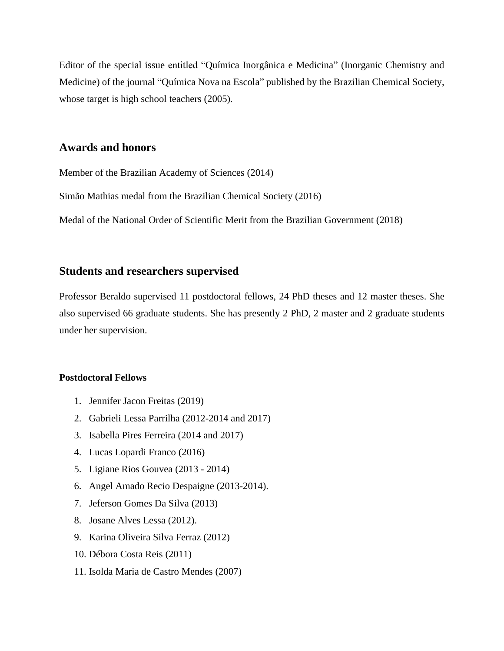Editor of the special issue entitled "Química Inorgânica e Medicina" (Inorganic Chemistry and Medicine) of the journal "Química Nova na Escola" published by the Brazilian Chemical Society, whose target is high school teachers  $(2005)$ .

### **Awards and honors**

Member of the Brazilian Academy of Sciences (2014)

Simão Mathias medal from the Brazilian Chemical Society (2016)

Medal of the National Order of Scientific Merit from the Brazilian Government (2018)

### **Students and researchers supervised**

Professor Beraldo supervised 11 postdoctoral fellows, 24 PhD theses and 12 master theses. She also supervised 66 graduate students. She has presently 2 PhD, 2 master and 2 graduate students under her supervision.

#### **Postdoctoral Fellows**

- 1. Jennifer Jacon Freitas (2019)
- 2. Gabrieli Lessa Parrilha (2012-2014 and 2017)
- 3. Isabella Pires Ferreira (2014 and 2017)
- 4. Lucas Lopardi Franco (2016)
- 5. Ligiane Rios Gouvea (2013 2014)
- 6. Angel Amado Recio Despaigne (2013-2014).
- 7. Jeferson Gomes Da Silva (2013)
- 8. Josane Alves Lessa (2012).
- 9. Karina Oliveira Silva Ferraz (2012)
- 10. Débora Costa Reis (2011)
- 11. Isolda Maria de Castro Mendes (2007)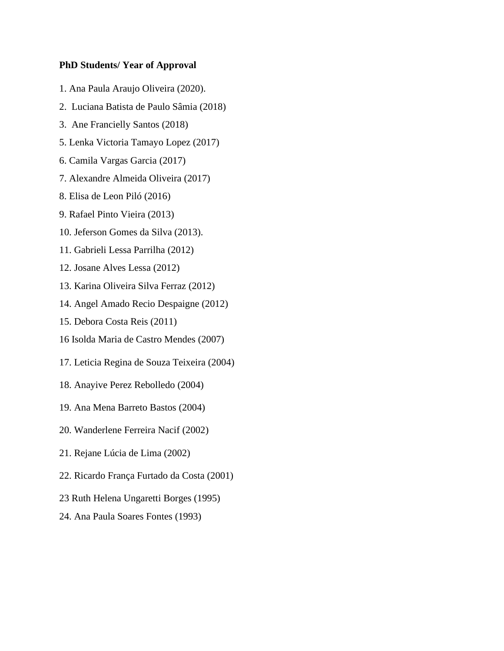#### **PhD Students/ Year of Approval**

- 1. Ana Paula Araujo Oliveira (2020).
- 2. Luciana Batista de Paulo Sâmia (2018)
- 3. Ane Francielly Santos (2018)
- 5. Lenka Victoria Tamayo Lopez (2017)
- 6. Camila Vargas Garcia (2017)
- 7. Alexandre Almeida Oliveira (2017)
- 8. Elisa de Leon Piló (2016)
- 9. Rafael Pinto Vieira (2013)
- 10. Jeferson Gomes da Silva (2013).
- 11. Gabrieli Lessa Parrilha (2012)
- 12. Josane Alves Lessa (2012)
- 13. Karina Oliveira Silva Ferraz (2012)
- 14. Angel Amado Recio Despaigne (2012)
- 15. Debora Costa Reis (2011)
- 16 Isolda Maria de Castro Mendes (2007)
- 17. Leticia Regina de Souza Teixeira (2004)
- 18. Anayive Perez Rebolledo (2004)
- 19. Ana Mena Barreto Bastos (2004)
- 20. Wanderlene Ferreira Nacif (2002)
- 21. Rejane Lúcia de Lima (2002)
- 22. Ricardo França Furtado da Costa (2001)
- 23 Ruth Helena Ungaretti Borges (1995)
- 24. Ana Paula Soares Fontes (1993)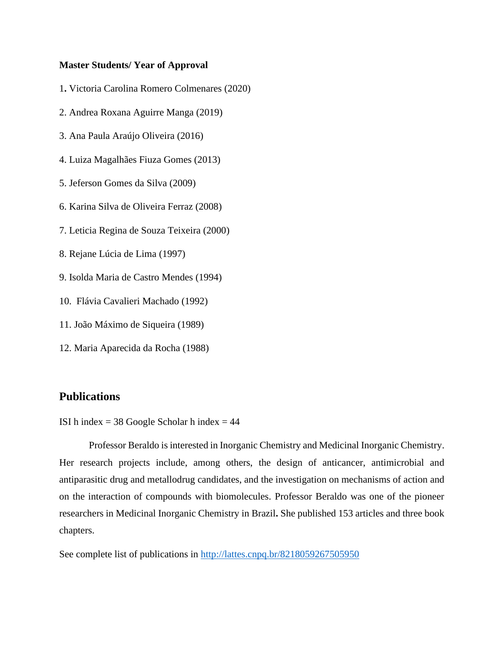#### **Master Students/ Year of Approval**

- 1**.** Victoria Carolina Romero Colmenares (2020)
- 2. Andrea Roxana Aguirre Manga (2019)
- 3. Ana Paula Araújo Oliveira (2016)
- 4. Luiza Magalhães Fiuza Gomes (2013)
- 5. Jeferson Gomes da Silva (2009)
- 6. Karina Silva de Oliveira Ferraz (2008)
- 7. Leticia Regina de Souza Teixeira (2000)
- 8. Rejane Lúcia de Lima (1997)
- 9. Isolda Maria de Castro Mendes (1994)
- 10. Flávia Cavalieri Machado (1992)
- 11. João Máximo de Siqueira (1989)
- 12. Maria Aparecida da Rocha (1988)

### **Publications**

ISI h index  $= 38$  Google Scholar h index  $= 44$ 

Professor Beraldo is interested in Inorganic Chemistry and Medicinal Inorganic Chemistry. Her research projects include, among others, the design of anticancer, antimicrobial and antiparasitic drug and metallodrug candidates, and the investigation on mechanisms of action and on the interaction of compounds with biomolecules. Professor Beraldo was one of the pioneer researchers in Medicinal Inorganic Chemistry in Brazil**.** She published 153 articles and three book chapters.

See complete list of publications in<http://lattes.cnpq.br/8218059267505950>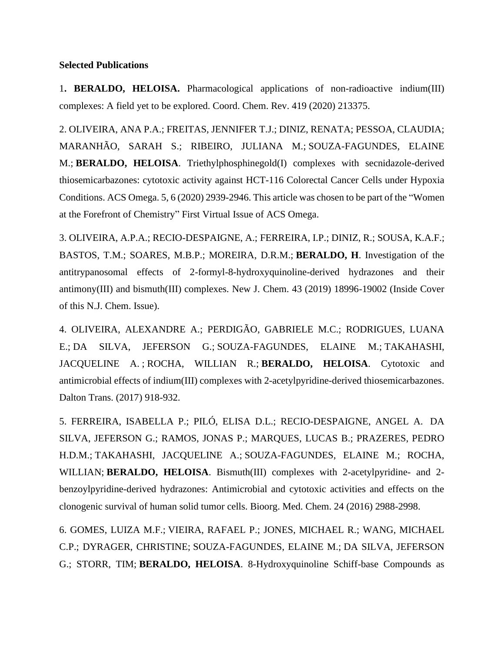#### **Selected Publications**

1**. BERALDO, HELOISA.** Pharmacological applications of non-radioactive indium(III) complexes: A field yet to be explored. Coord. Chem. Rev. 419 (2020) 213375.

2. OLIVEIRA, ANA P.A.; FREITAS, JENNIFER T.J.; DINIZ, RENATA; PESSOA, CLAUDIA; MARANHÃO, SARAH S.; RIBEIRO, JULIANA M.; [SOUZA-FAGUNDES, ELAINE](http://lattes.cnpq.br/6275124345922194)  [M.;](http://lattes.cnpq.br/6275124345922194) **BERALDO, HELOISA**. Triethylphosphinegold(I) complexes with secnidazole-derived thiosemicarbazones: cytotoxic activity against HCT-116 Colorectal Cancer Cells under Hypoxia Conditions. ACS Omega. 5, 6 (2020) 2939-2946. This article was chosen to be part of the "Women at the Forefront of Chemistry" First Virtual Issue of ACS Omega.

3. OLIVEIRA, A.P.A.; RECIO-DESPAIGNE, A.; [FERREIRA, I.P.;](http://lattes.cnpq.br/4260734232382167) DINIZ, R.; SOUSA, K.A.F.; BASTOS, T.M.; SOARES, M.B.P.; MOREIRA, D.R.M.; **BERALDO, H**. Investigation of the antitrypanosomal effects of 2-formyl-8-hydroxyquinoline-derived hydrazones and their antimony(III) and bismuth(III) complexes. New J. Chem. 43 (2019) 18996-19002 (Inside Cover of this N.J. Chem. Issue).

4. OLIVEIRA, ALEXANDRE A.; PERDIGÃO, GABRIELE M.C.; RODRIGUES, LUANA E.; [DA SILVA, JEFERSON G.;](http://lattes.cnpq.br/4049419303742888) [SOUZA-FAGUNDES, ELAINE M.;](http://lattes.cnpq.br/6275124345922194) [TAKAHASHI,](http://lattes.cnpq.br/8436025963943451)  [JACQUELINE A.](http://lattes.cnpq.br/8436025963943451) ; [ROCHA, WILLIAN R.;](http://lattes.cnpq.br/5873636553295704) **BERALDO, HELOISA**. Cytotoxic and antimicrobial effects of indium(III) complexes with 2-acetylpyridine-derived thiosemicarbazones. Dalton Trans. (2017) 918-932.

5. [FERREIRA, ISABELLA P.;](http://lattes.cnpq.br/4260734232382167) PILÓ, ELISA D.L.; RECIO-DESPAIGNE, ANGEL A. [DA](http://lattes.cnpq.br/4049419303742888)  [SILVA, JEFERSON G.;](http://lattes.cnpq.br/4049419303742888) RAMOS, JONAS P.; MARQUES, LUCAS B.; PRAZERES, PEDRO H.D.M.; [TAKAHASHI, JACQUELINE A.;](http://lattes.cnpq.br/8436025963943451) [SOUZA-FAGUNDES, ELAINE M.;](http://lattes.cnpq.br/6275124345922194) ROCHA, WILLIAN; **BERALDO, HELOISA**. Bismuth(III) complexes with 2-acetylpyridine- and 2 benzoylpyridine-derived hydrazones: Antimicrobial and cytotoxic activities and effects on the clonogenic survival of human solid tumor cells. Bioorg. Med. Chem. 24 (2016) 2988-2998.

6. [GOMES, LUIZA M.F.;](http://lattes.cnpq.br/2528313474535288) [VIEIRA, RAFAEL P.;](http://lattes.cnpq.br/2300064372165096) JONES, MICHAEL R.; WANG, MICHAEL C.P.; DYRAGER, CHRISTINE; [SOUZA-FAGUNDES, ELAINE M.;](http://lattes.cnpq.br/6275124345922194) [DA SILVA, JEFERSON](http://lattes.cnpq.br/4049419303742888)  [G.;](http://lattes.cnpq.br/4049419303742888) STORR, TIM; **BERALDO, HELOISA**. 8-Hydroxyquinoline Schiff-base Compounds as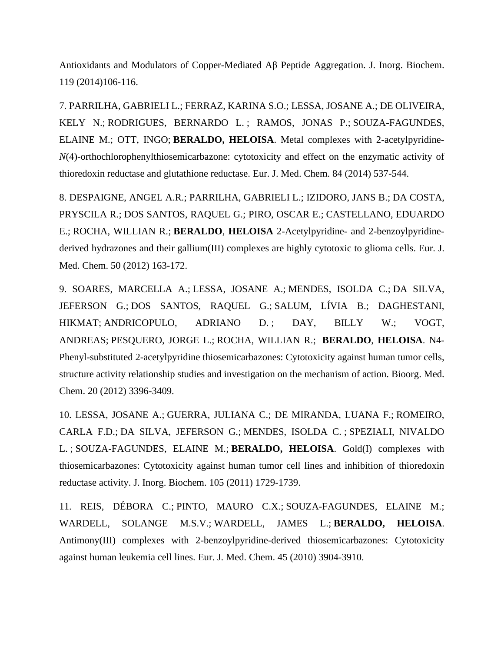Antioxidants and Modulators of Copper-Mediated Aβ Peptide Aggregation. J. Inorg. Biochem. 119 (2014)106-116.

7. [PARRILHA, GABRIELI L.;](http://lattes.cnpq.br/1443338732472269) [FERRAZ, KARINA S.O.;](http://lattes.cnpq.br/7883320122076290) [LESSA, JOSANE A.;](http://lattes.cnpq.br/8402296847454322) DE OLIVEIRA, KELY N.; [RODRIGUES, BERNARDO L.](http://lattes.cnpq.br/6915714261651875) ; RAMOS, JONAS P.; [SOUZA-FAGUNDES,](http://lattes.cnpq.br/6275124345922194)  [ELAINE M.;](http://lattes.cnpq.br/6275124345922194) OTT, INGO; **BERALDO, HELOISA**. Metal complexes with 2-acetylpyridine-*N*(4)-orthochlorophenylthiosemicarbazone: cytotoxicity and effect on the enzymatic activity of thioredoxin reductase and glutathione reductase. Eur. J. Med. Chem. 84 (2014) 537-544.

8. [DESPAIGNE, ANGEL A.R.;](http://lattes.cnpq.br/4240369058617665) [PARRILHA, GABRIELI L.;](http://lattes.cnpq.br/1443338732472269) IZIDORO, JANS B.; [DA COSTA,](http://lattes.cnpq.br/2284410108731333)  [PRYSCILA R.;](http://lattes.cnpq.br/2284410108731333) [DOS SANTOS, RAQUEL G.;](http://lattes.cnpq.br/4312378630155156) PIRO, OSCAR E.; [CASTELLANO, EDUARDO](http://lattes.cnpq.br/7416526225245942)  [E.;](http://lattes.cnpq.br/7416526225245942) [ROCHA, WILLIAN R.;](http://lattes.cnpq.br/5873636553295704) **[BERALDO](http://lattes.cnpq.br/8218059267505950)**, **HELOISA** 2-Acetylpyridine- and 2-benzoylpyridinederived hydrazones and their gallium(III) complexes are highly cytotoxic to glioma cells. Eur. J. Med. Chem. 50 (2012) 163-172.

9. [SOARES, MARCELLA A.;](http://lattes.cnpq.br/6420135421404723) [LESSA, JOSANE A.;](http://lattes.cnpq.br/8402296847454322) [MENDES, ISOLDA C.;](http://lattes.cnpq.br/4135519633437150) [DA SILVA,](http://lattes.cnpq.br/4049419303742888)  [JEFERSON G.;](http://lattes.cnpq.br/4049419303742888) [DOS SANTOS, RAQUEL G.;](http://lattes.cnpq.br/4312378630155156) [SALUM, LÍVIA B.;](http://lattes.cnpq.br/2945837904680698) DAGHESTANI, HIKMAT; [ANDRICOPULO, ADRIANO D.](http://lattes.cnpq.br/5598322661148873) ; DAY, BILLY W.; VOGT, ANDREAS; [PESQUERO, JORGE L.;](http://lattes.cnpq.br/4195433401073024) [ROCHA, WILLIAN R.;](http://lattes.cnpq.br/5873636553295704) **[BERALDO](http://lattes.cnpq.br/8218059267505950)**, **HELOISA**. N4- Phenyl-substituted 2-acetylpyridine thiosemicarbazones: Cytotoxicity against human tumor cells, structure activity relationship studies and investigation on the mechanism of action. Bioorg. Med. Chem. 20 (2012) 3396-3409.

10. [LESSA, JOSANE A.;](http://lattes.cnpq.br/8402296847454322) [GUERRA, JULIANA C.;](http://lattes.cnpq.br/6242993689847171) DE MIRANDA, LUANA F.; [ROMEIRO,](http://lattes.cnpq.br/2769059147261492)  [CARLA F.D.;](http://lattes.cnpq.br/2769059147261492) [DA SILVA, JEFERSON G.;](http://lattes.cnpq.br/4049419303742888) [MENDES, ISOLDA C.](http://lattes.cnpq.br/4135519633437150) ; [SPEZIALI, NIVALDO](http://lattes.cnpq.br/2287316756049448)  [L.](http://lattes.cnpq.br/2287316756049448) ; [SOUZA-FAGUNDES, ELAINE M.;](http://lattes.cnpq.br/6275124345922194) **[BERALDO,](http://lattes.cnpq.br/8218059267505950) HELOISA**. Gold(I) complexes with thiosemicarbazones: Cytotoxicity against human tumor cell lines and inhibition of thioredoxin reductase activity. J. Inorg. Biochem. 105 (2011) 1729-1739.

11. [REIS, DÉBORA C.;](http://lattes.cnpq.br/5311422475692708) [PINTO, MAURO C.X.;](http://lattes.cnpq.br/0868250984727943) [SOUZA-FAGUNDES, ELAINE M.;](http://lattes.cnpq.br/6275124345922194) WARDELL, SOLANGE M.S.V.; [WARDELL, JAMES L.;](http://lattes.cnpq.br/7824355906998335) **[BERALDO,](http://lattes.cnpq.br/8218059267505950) HELOISA**. Antimony(III) complexes with 2-benzoylpyridine-derived thiosemicarbazones: Cytotoxicity against human leukemia cell lines. Eur. J. Med. Chem. 45 (2010) 3904-3910.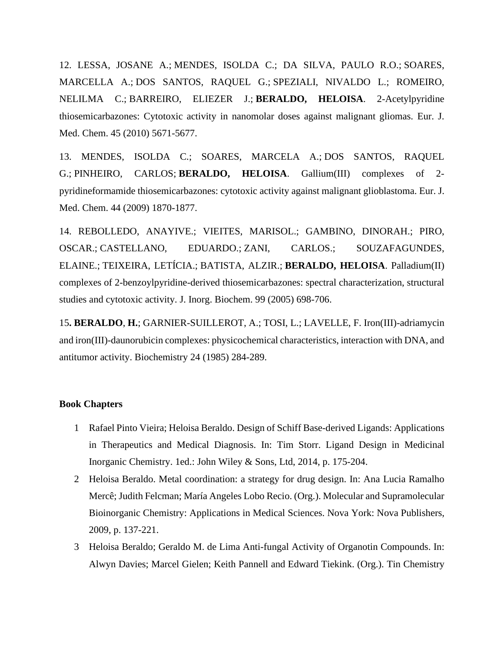12. [LESSA, JOSANE A.;](http://lattes.cnpq.br/8402296847454322) [MENDES, ISOLDA C.;](http://lattes.cnpq.br/4135519633437150) DA SILVA, PAULO R.O.; [SOARES,](http://lattes.cnpq.br/6420135421404723)  [MARCELLA A.;](http://lattes.cnpq.br/6420135421404723) [DOS SANTOS, RAQUEL G.;](http://lattes.cnpq.br/4312378630155156) [SPEZIALI, NIVALDO L.;](http://lattes.cnpq.br/2287316756049448) ROMEIRO, NELILMA C.; [BARREIRO, ELIEZER J.;](http://lattes.cnpq.br/5942068988379022) **[BERALDO,](http://lattes.cnpq.br/8218059267505950) HELOISA**. 2-Acetylpyridine thiosemicarbazones: Cytotoxic activity in nanomolar doses against malignant gliomas. Eur. J. Med. Chem. 45 (2010) 5671-5677.

13. [MENDES, ISOLDA C.;](http://lattes.cnpq.br/4135519633437150) SOARES, MARCELA A.; [DOS SANTOS, RAQUEL](http://lattes.cnpq.br/4312378630155156)  [G.;](http://lattes.cnpq.br/4312378630155156) [PINHEIRO, CARLOS;](http://lattes.cnpq.br/9481262314079347) **[BERALDO,](http://lattes.cnpq.br/8218059267505950) HELOISA**. Gallium(III) complexes of 2 pyridineformamide thiosemicarbazones: cytotoxic activity against malignant glioblastoma. Eur. J. Med. Chem. 44 (2009) 1870-1877.

14. [REBOLLEDO, AN](http://lattes.cnpq.br/2120467678731136)AYIVE.; VIEITES, MARISOL.; GAMBINO, DINORAH.; PIRO, OSCAR.; [CASTELLANO, ED](http://lattes.cnpq.br/7416526225245942)UARDO.; [ZANI, CA](http://lattes.cnpq.br/0714208971609666)RLOS.; SOUZAFAGUNDES, ELAINE.; [TEIXEIRA, LE](http://lattes.cnpq.br/3150790447778819)TÍCIA.; [BATISTA, AL](http://lattes.cnpq.br/6469642481998660)ZIR.; **[BERALDO, HE](http://lattes.cnpq.br/8218059267505950)LOISA**. Palladium(II) complexes of 2-benzoylpyridine-derived thiosemicarbazones: spectral characterization, structural studies and cytotoxic activity. J. Inorg. Biochem. 99 (2005) 698-706.

15**. BERALDO**, **H.**; GARNIER-SUILLEROT, A.; TOSI, L.; LAVELLE, F. Iron(III)-adriamycin and iron(III)-daunorubicin complexes: physicochemical characteristics, interaction with DNA, and antitumor activity. Biochemistry 24 (1985) 284-289.

#### **Book Chapters**

- 1 Rafael Pinto Vieira; Heloisa Beraldo. Design of Schiff Base-derived Ligands: Applications in Therapeutics and Medical Diagnosis. In: Tim Storr. Ligand Design in Medicinal Inorganic Chemistry. 1ed.: John Wiley & Sons, Ltd, 2014, p. 175-204.
- 2 Heloisa Beraldo. Metal coordination: a strategy for drug design. In: Ana Lucia Ramalho Mercê; Judith Felcman; María Angeles Lobo Recio. (Org.). Molecular and Supramolecular Bioinorganic Chemistry: Applications in Medical Sciences. Nova York: Nova Publishers, 2009, p. 137-221.
- 3 Heloisa Beraldo; Geraldo M. de Lima Anti-fungal Activity of Organotin Compounds. In: Alwyn Davies; Marcel Gielen; Keith Pannell and Edward Tiekink. (Org.). Tin Chemistry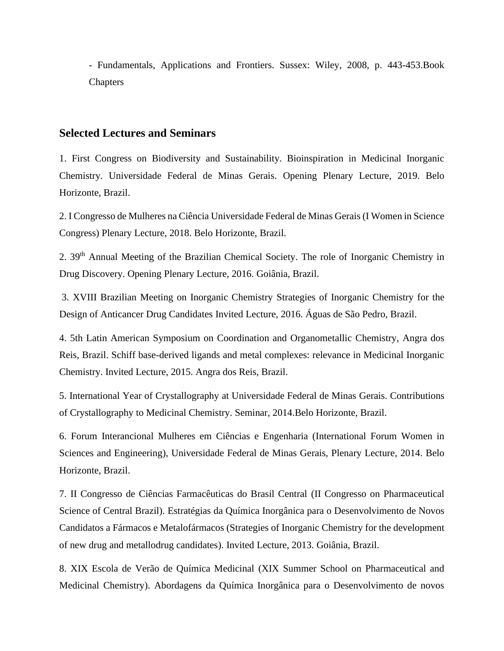- Fundamentals, Applications and Frontiers. Sussex: Wiley, 2008, p. 443-453.Book **Chapters** 

#### **Selected Lectures and Seminars**

1. First Congress on Biodiversity and Sustainability. Bioinspiration in Medicinal Inorganic Chemistry. Universidade Federal de Minas Gerais. Opening Plenary Lecture, 2019. Belo Horizonte, Brazil.

2. I Congresso de Mulheres na Ciência Universidade Federal de Minas Gerais (I Women in Science Congress) Plenary Lecture, 2018. Belo Horizonte, Brazil.

2. 39th Annual Meeting of the Brazilian Chemical Society. The role of Inorganic Chemistry in Drug Discovery. Opening Plenary Lecture, 2016. Goiânia, Brazil.

3. XVIII Brazilian Meeting on Inorganic Chemistry Strategies of Inorganic Chemistry for the Design of Anticancer Drug Candidates Invited Lecture, 2016. Águas de São Pedro, Brazil.

4. 5th Latin American Symposium on Coordination and Organometallic Chemistry, Angra dos Reis, Brazil. Schiff base-derived ligands and metal complexes: relevance in Medicinal Inorganic Chemistry. Invited Lecture, 2015. Angra dos Reis, Brazil.

5. International Year of Crystallography at Universidade Federal de Minas Gerais. Contributions of Crystallography to Medicinal Chemistry. Seminar, 2014.Belo Horizonte, Brazil.

6. Forum Interancional Mulheres em Ciências e Engenharia (International Forum Women in Sciences and Engineering), Universidade Federal de Minas Gerais, Plenary Lecture, 2014. Belo Horizonte, Brazil.

7. II Congresso de Ciências Farmacêuticas do Brasil Central (II Congresso on Pharmaceutical Science of Central Brazil). Estratégias da Química Inorgânica para o Desenvolvimento de Novos Candidatos a Fármacos e Metalofármacos (Strategies of Inorganic Chemistry for the development of new drug and metallodrug candidates). Invited Lecture, 2013. Goiânia, Brazil.

8. XIX Escola de Verão de Química Medicinal (XIX Summer School on Pharmaceutical and Medicinal Chemistry). Abordagens da Química Inorgânica para o Desenvolvimento de novos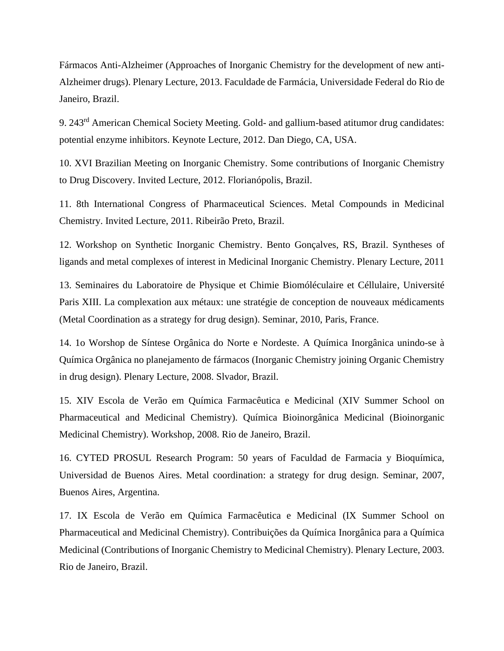Fármacos Anti-Alzheimer (Approaches of Inorganic Chemistry for the development of new anti-Alzheimer drugs). Plenary Lecture, 2013. Faculdade de Farmácia, Universidade Federal do Rio de Janeiro, Brazil.

9. 243rd American Chemical Society Meeting. Gold- and gallium-based atitumor drug candidates: potential enzyme inhibitors. Keynote Lecture, 2012. Dan Diego, CA, USA.

10. XVI Brazilian Meeting on Inorganic Chemistry. Some contributions of Inorganic Chemistry to Drug Discovery. Invited Lecture, 2012. Florianópolis, Brazil.

11. 8th International Congress of Pharmaceutical Sciences. Metal Compounds in Medicinal Chemistry. Invited Lecture, 2011. Ribeirão Preto, Brazil.

12. Workshop on Synthetic Inorganic Chemistry. Bento Gonçalves, RS, Brazil. Syntheses of ligands and metal complexes of interest in Medicinal Inorganic Chemistry. Plenary Lecture, 2011

13. Seminaires du Laboratoire de Physique et Chimie Biomóléculaire et Céllulaire, Université Paris XIII. La complexation aux métaux: une stratégie de conception de nouveaux médicaments (Metal Coordination as a strategy for drug design). Seminar, 2010, Paris, France.

14. 1o Worshop de Síntese Orgânica do Norte e Nordeste. A Química Inorgânica unindo-se à Química Orgânica no planejamento de fármacos (Inorganic Chemistry joining Organic Chemistry in drug design). Plenary Lecture, 2008. Slvador, Brazil.

15. XIV Escola de Verão em Química Farmacêutica e Medicinal (XIV Summer School on Pharmaceutical and Medicinal Chemistry). Química Bioinorgânica Medicinal (Bioinorganic Medicinal Chemistry). Workshop, 2008. Rio de Janeiro, Brazil.

16. CYTED PROSUL Research Program: 50 years of Faculdad de Farmacia y Bioquímica, Universidad de Buenos Aires. Metal coordination: a strategy for drug design. Seminar, 2007, Buenos Aires, Argentina.

17. IX Escola de Verão em Química Farmacêutica e Medicinal (IX Summer School on Pharmaceutical and Medicinal Chemistry). Contribuições da Química Inorgânica para a Química Medicinal (Contributions of Inorganic Chemistry to Medicinal Chemistry). Plenary Lecture, 2003. Rio de Janeiro, Brazil.